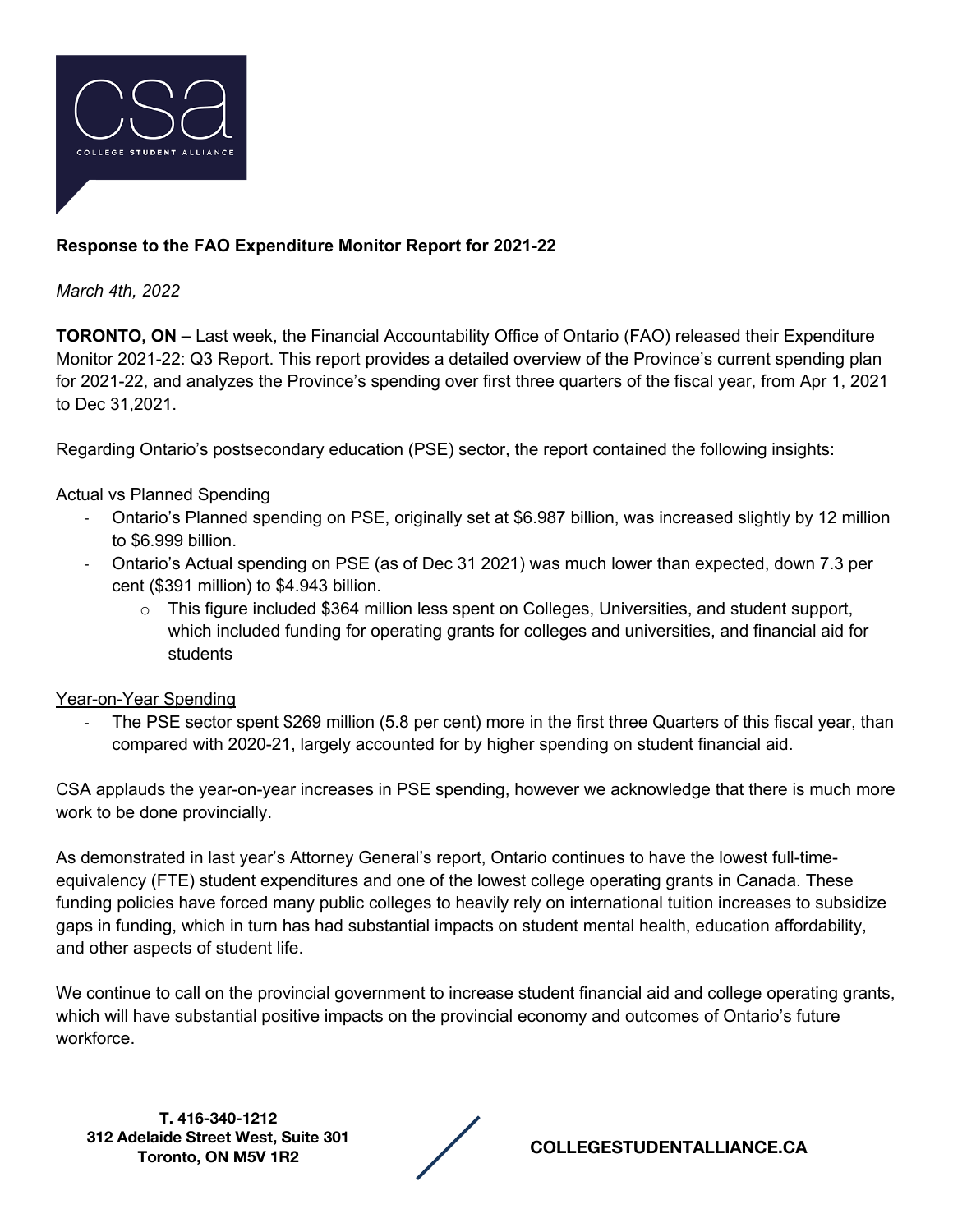

# **Response to the FAO Expenditure Monitor Report for 2021-22**

*March 4th, 2022*

**TORONTO, ON –** Last week, the Financial Accountability Office of Ontario (FAO) released their Expenditure Monitor 2021-22: Q3 Report. This report provides a detailed overview of the Province's current spending plan for 2021-22, and analyzes the Province's spending over first three quarters of the fiscal year, from Apr 1, 2021 to Dec 31,2021.

Regarding Ontario's postsecondary education (PSE) sector, the report contained the following insights:

### Actual vs Planned Spending

- Ontario's Planned spending on PSE, originally set at \$6.987 billion, was increased slightly by 12 million to \$6.999 billion.
- Ontario's Actual spending on PSE (as of Dec 31 2021) was much lower than expected, down 7.3 per cent (\$391 million) to \$4.943 billion.
	- $\circ$  This figure included \$364 million less spent on Colleges, Universities, and student support, which included funding for operating grants for colleges and universities, and financial aid for students

#### Year-on-Year Spending

The PSE sector spent \$269 million (5.8 per cent) more in the first three Quarters of this fiscal year, than compared with 2020-21, largely accounted for by higher spending on student financial aid.

CSA applauds the year-on-year increases in PSE spending, however we acknowledge that there is much more work to be done provincially.

As demonstrated in last year's Attorney General's report, Ontario continues to have the lowest full-timeequivalency (FTE) student expenditures and one of the lowest college operating grants in Canada. These funding policies have forced many public colleges to heavily rely on international tuition increases to subsidize gaps in funding, which in turn has had substantial impacts on student mental health, education affordability, and other aspects of student life.

We continue to call on the provincial government to increase student financial aid and college operating grants, which will have substantial positive impacts on the provincial economy and outcomes of Ontario's future workforce.

**T. 416-340-1212 312 Adelaide Street West, Suite 301** 



**Toronto, ON M5V 1R2 COLLEGESTUDENTALLIANCE.CA**